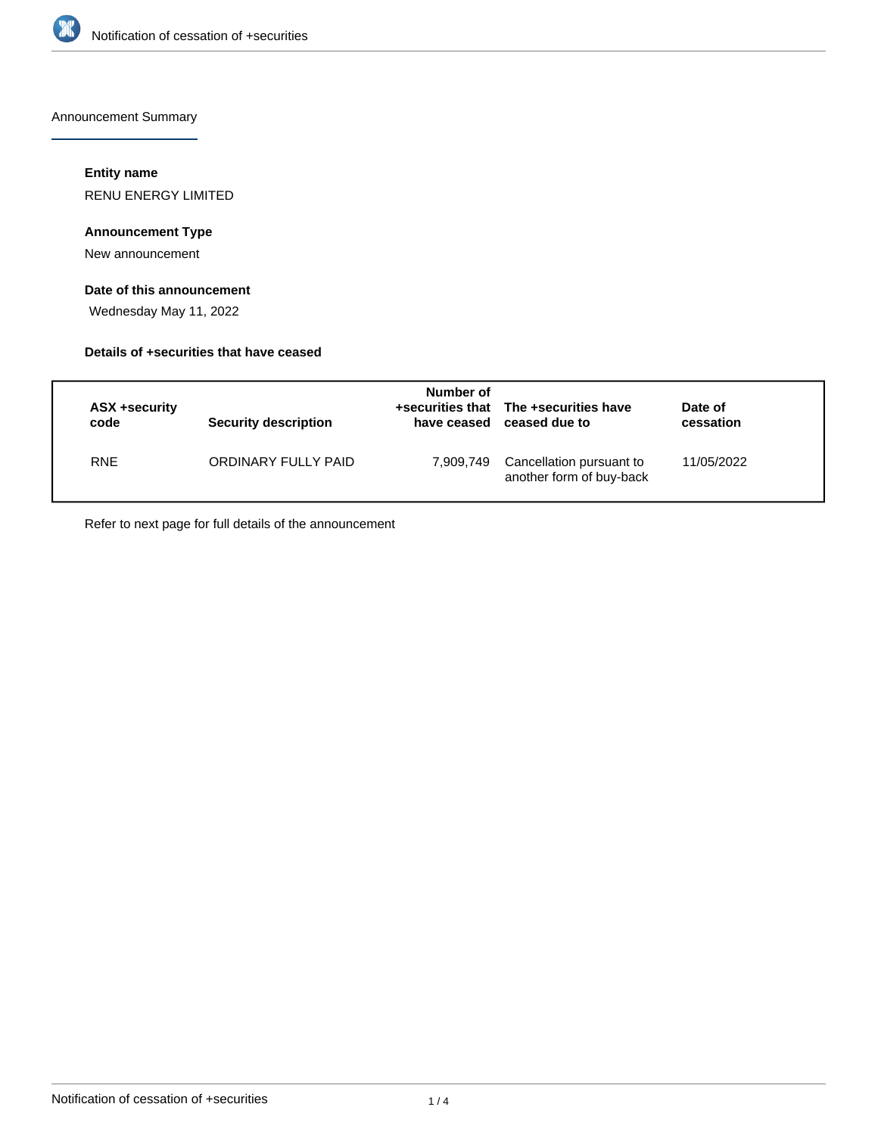

Announcement Summary

# **Entity name**

RENU ENERGY LIMITED

# **Announcement Type**

New announcement

# **Date of this announcement**

Wednesday May 11, 2022

## **Details of +securities that have ceased**

| ASX +security<br>code | <b>Security description</b> | Number of<br>have ceased | +securities that The +securities have<br>ceased due to | Date of<br>cessation |
|-----------------------|-----------------------------|--------------------------|--------------------------------------------------------|----------------------|
| <b>RNE</b>            | ORDINARY FULLY PAID         | 7,909,749                | Cancellation pursuant to<br>another form of buy-back   | 11/05/2022           |

Refer to next page for full details of the announcement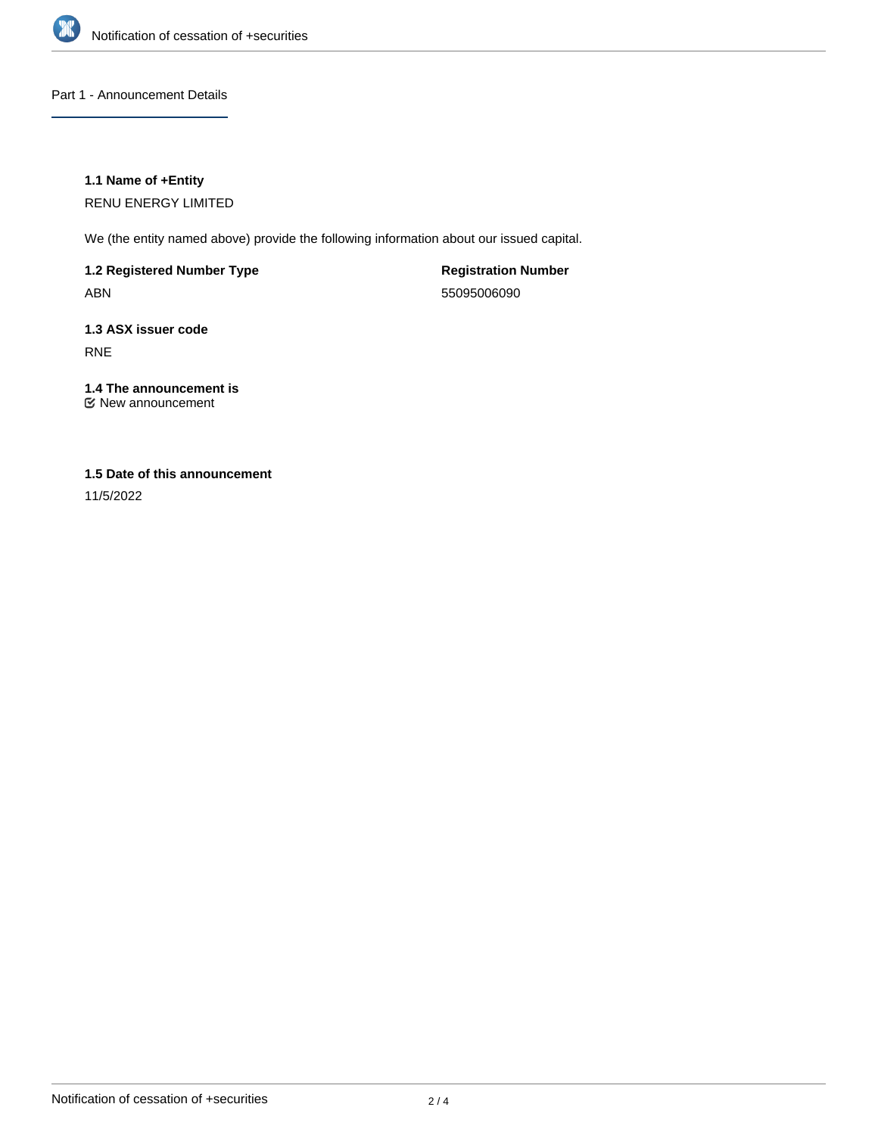

Part 1 - Announcement Details

## **1.1 Name of +Entity**

RENU ENERGY LIMITED

We (the entity named above) provide the following information about our issued capital.

**1.2 Registered Number Type** ABN

**Registration Number** 55095006090

**1.3 ASX issuer code** RNE

**1.4 The announcement is** New announcement

# **1.5 Date of this announcement**

11/5/2022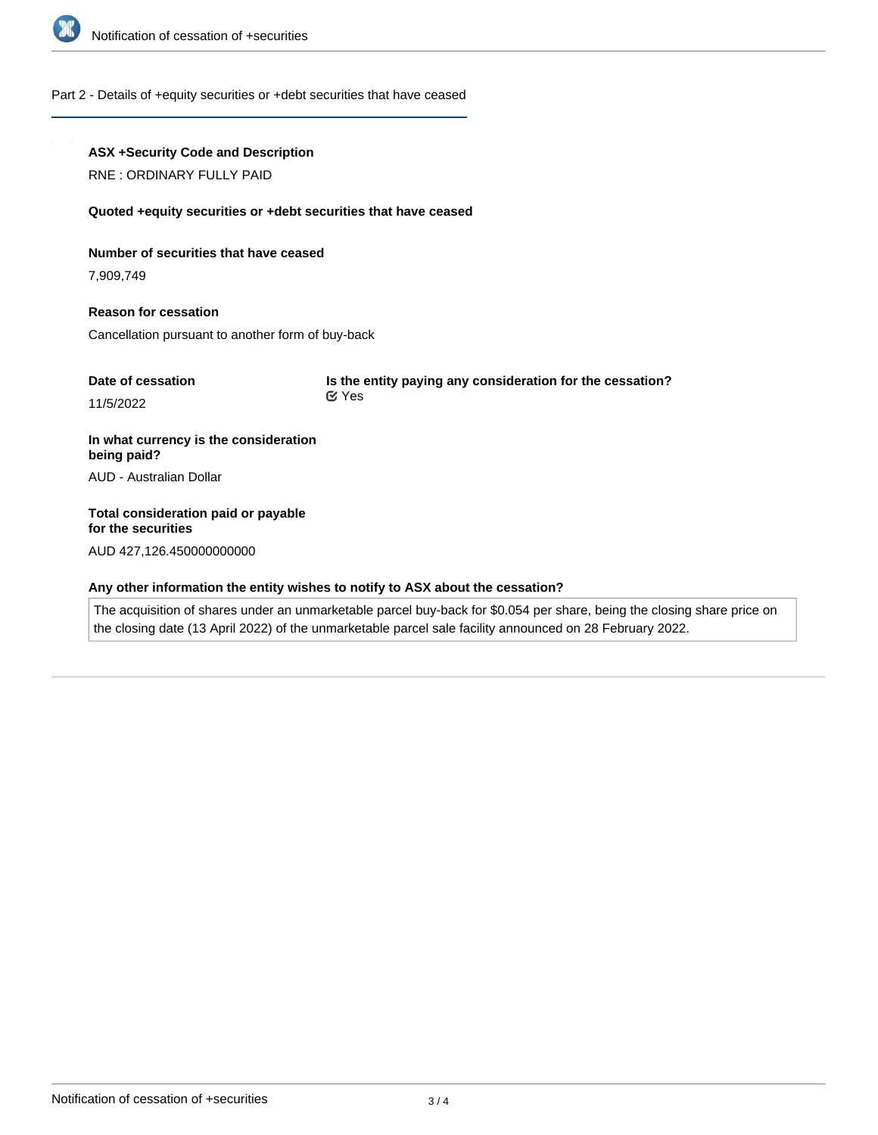

#### Part 2 - Details of +equity securities or +debt securities that have ceased

### **ASX +Security Code and Description**

RNE : ORDINARY FULLY PAID

#### **Quoted +equity securities or +debt securities that have ceased**

#### **Number of securities that have ceased**

7,909,749

# **Reason for cessation** Cancellation pursuant to another form of buy-back

| Date of cessation | Is the entity paying any consideration for the cessation? |
|-------------------|-----------------------------------------------------------|
| 11/5/2022         | ା Yes                                                     |

# **In what currency is the consideration being paid?** AUD - Australian Dollar

**Total consideration paid or payable for the securities**

AUD 427,126.450000000000

# **Any other information the entity wishes to notify to ASX about the cessation?**

The acquisition of shares under an unmarketable parcel buy-back for \$0.054 per share, being the closing share price on the closing date (13 April 2022) of the unmarketable parcel sale facility announced on 28 February 2022.